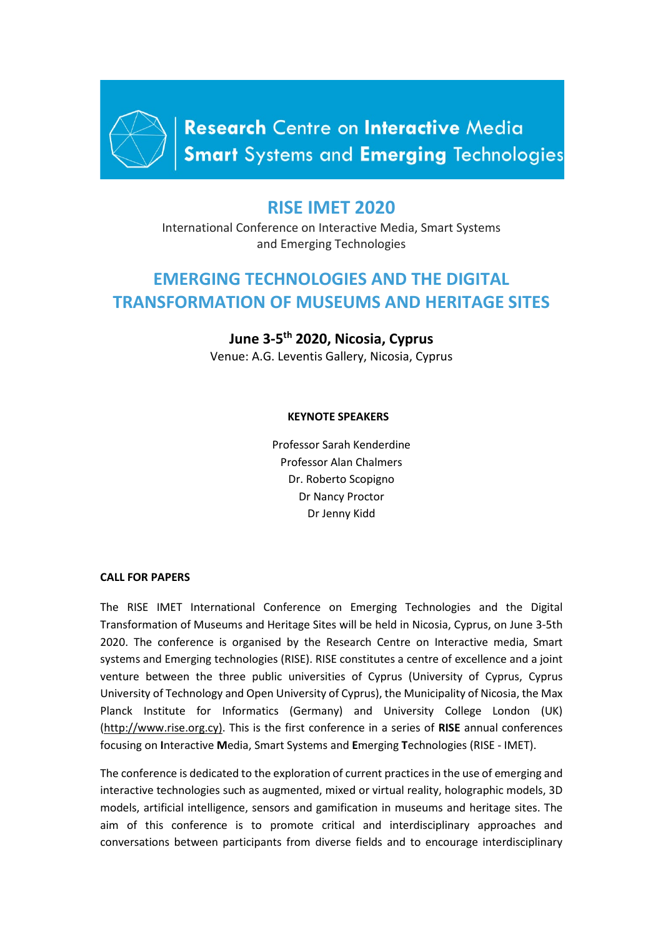

Research Centre on Interactive Media **Smart** Systems and Emerging Technologies

# **RISE IMET 2020**

International Conference on Interactive Media, Smart Systems and Emerging Technologies

# **EMERGING TECHNOLOGIES AND THE DIGITAL TRANSFORMATION OF MUSEUMS AND HERITAGE SITES**

# **June 3-5th 2020, Nicosia, Cyprus**

Venue: A.G. Leventis Gallery, Nicosia, Cyprus

## **KEYNOTE SPEAKERS**

Professor Sarah Kenderdine Professor Alan Chalmers Dr. Roberto Scopigno Dr Nancy Proctor Dr Jenny Kidd

#### **CALL FOR PAPERS**

The RISE IMET International Conference on Emerging Technologies and the Digital Transformation of Museums and Heritage Sites will be held in Nicosia, Cyprus, on June 3-5th 2020. The conference is organised by the Research Centre on Interactive media, Smart systems and Emerging technologies (RISE). RISE constitutes a centre of excellence and a joint venture between the three public universities of Cyprus (University of Cyprus, Cyprus University of Technology and Open University of Cyprus), the Municipality of Nicosia, the Max Planck Institute for Informatics (Germany) and University College London (UK) [\(http://www.rise.org.cy\).](about:blank) This is the first conference in a series of **RISE** annual conferences focusing on **I**nteractive **M**edia, Smart Systems and **E**merging **T**echnologies (RISE - IMET).

The conference is dedicated to the exploration of current practices in the use of emerging and interactive technologies such as augmented, mixed or virtual reality, holographic models, 3D models, artificial intelligence, sensors and gamification in museums and heritage sites. The aim of this conference is to promote critical and interdisciplinary approaches and conversations between participants from diverse fields and to encourage interdisciplinary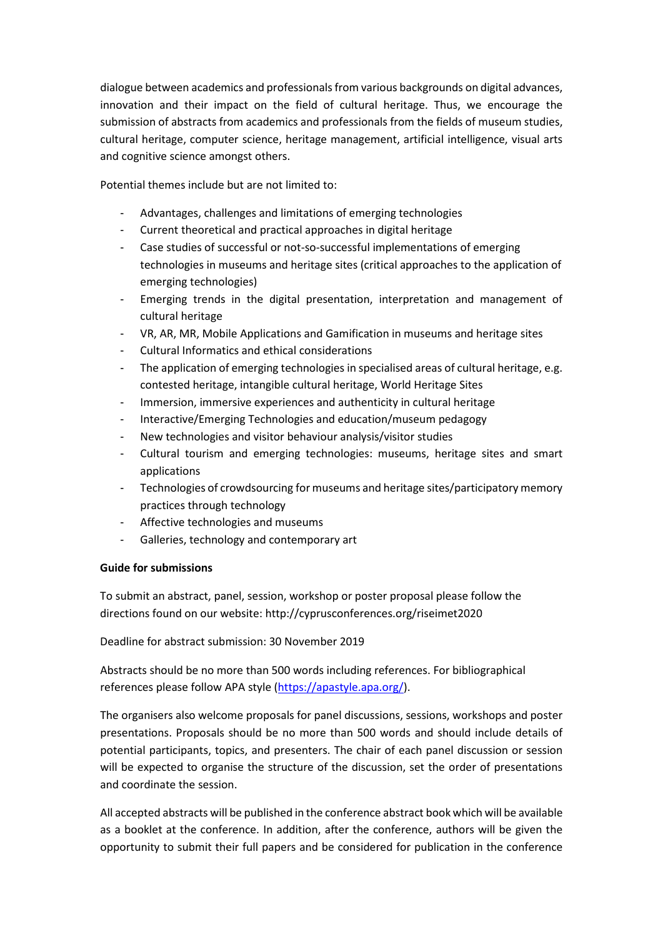dialogue between academics and professionals from various backgrounds on digital advances, innovation and their impact on the field of cultural heritage. Thus, we encourage the submission of abstracts from academics and professionals from the fields of museum studies, cultural heritage, computer science, heritage management, artificial intelligence, visual arts and cognitive science amongst others.

Potential themes include but are not limited to:

- Advantages, challenges and limitations of emerging technologies
- Current theoretical and practical approaches in digital heritage
- Case studies of successful or not-so-successful implementations of emerging technologies in museums and heritage sites (critical approaches to the application of emerging technologies)
- Emerging trends in the digital presentation, interpretation and management of cultural heritage
- VR, AR, MR, Mobile Applications and Gamification in museums and heritage sites
- Cultural Informatics and ethical considerations
- The application of emerging technologies in specialised areas of cultural heritage, e.g. contested heritage, intangible cultural heritage, World Heritage Sites
- Immersion, immersive experiences and authenticity in cultural heritage
- Interactive/Emerging Technologies and education/museum pedagogy
- New technologies and visitor behaviour analysis/visitor studies
- Cultural tourism and emerging technologies: museums, heritage sites and smart applications
- Technologies of crowdsourcing for museums and heritage sites/participatory memory practices through technology
- Affective technologies and museums
- Galleries, technology and contemporary art

## **Guide for submissions**

To submit an abstract, panel, session, workshop or poster proposal please follow the directions found on our website: http://cyprusconferences.org/riseimet2020

Deadline for abstract submission: 30 November 2019

Abstracts should be no more than 500 words including references. For bibliographical references please follow APA style [\(https://apastyle.apa.org/\)](https://apastyle.apa.org/).

The organisers also welcome proposals for panel discussions, sessions, workshops and poster presentations. Proposals should be no more than 500 words and should include details of potential participants, topics, and presenters. The chair of each panel discussion or session will be expected to organise the structure of the discussion, set the order of presentations and coordinate the session.

All accepted abstracts will be published in the conference abstract book which will be available as a booklet at the conference. In addition, after the conference, authors will be given the opportunity to submit their full papers and be considered for publication in the conference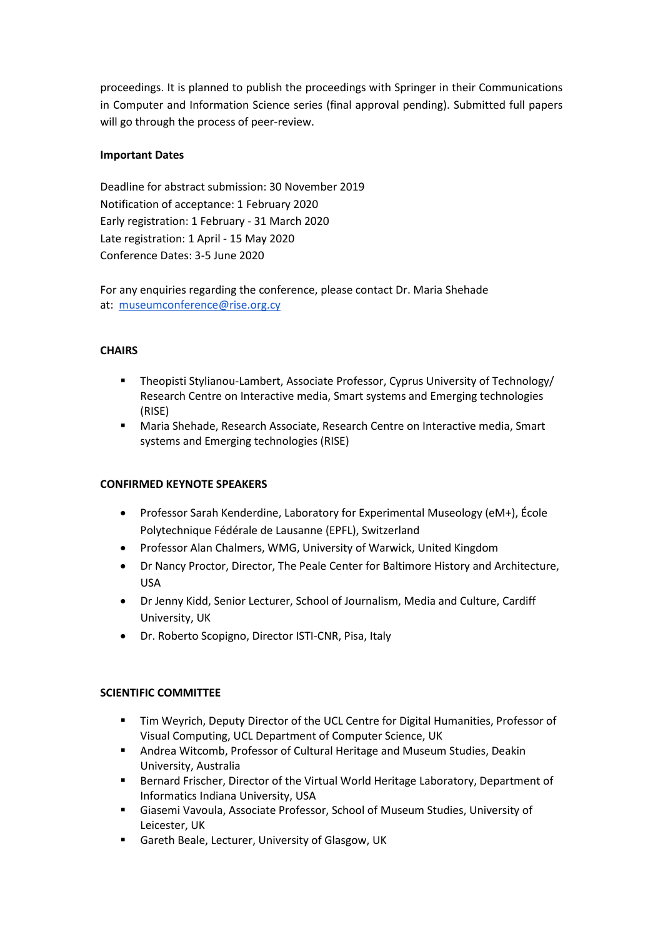proceedings. It is planned to publish the proceedings with Springer in their Communications in Computer and Information Science series (final approval pending). Submitted full papers will go through the process of peer-review.

## **Important Dates**

Deadline for abstract submission: 30 November 2019 Notification of acceptance: 1 February 2020 Early registration: 1 February - 31 March 2020 Late registration: 1 April - 15 May 2020 Conference Dates: 3-5 June 2020

For any enquiries regarding the conference, please contact Dr. Maria Shehade at: [museumconference@rise.org.cy](mailto:museumconference@rise.org.cy)

## **CHAIRS**

- Theopisti Stylianou-Lambert, Associate Professor, Cyprus University of Technology/ Research Centre on Interactive media, Smart systems and Emerging technologies (RISE)
- Maria Shehade, Research Associate, Research Centre on Interactive media, Smart systems and Emerging technologies (RISE)

#### **CONFIRMED KEYNOTE SPEAKERS**

- Professor Sarah Kenderdine, Laboratory for Experimental Museology (eM+), École Polytechnique Fédérale de Lausanne (EPFL), Switzerland
- Professor Alan Chalmers, WMG, University of Warwick, United Kingdom
- Dr Nancy Proctor, Director, The Peale Center for Baltimore History and Architecture, USA
- Dr Jenny Kidd, Senior Lecturer, School of Journalism, Media and Culture, Cardiff University, UK
- Dr. Roberto Scopigno, Director ISTI-CNR, Pisa, Italy

#### **SCIENTIFIC COMMITTEE**

- Tim Weyrich, Deputy Director of the UCL Centre for Digital Humanities, Professor of Visual Computing[, UCL Department of Computer Science,](http://www.cs.ucl.ac.uk/) UK
- Andrea Witcomb, Professor of Cultural Heritage and Museum Studies, Deakin University, Australia
- **Bernard Frischer, Director of the Virtual World Heritage Laboratory, Department of** Informatics Indiana University, USA
- Giasemi Vavoula, Associate Professor, School of Museum Studies, University of Leicester, UK
- **EXECT:** Gareth Beale, Lecturer, University of Glasgow, UK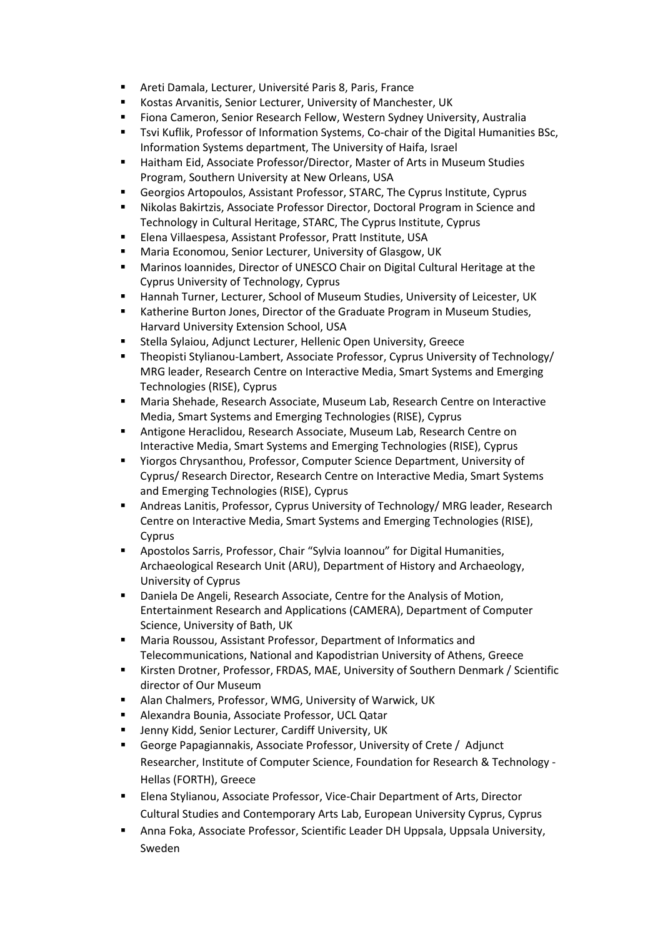- Areti Damala, Lecturer, Université Paris 8, Paris, France
- Kostas Arvanitis, Senior Lecturer, University of Manchester, UK
- Fiona Cameron, Senior Research Fellow, Western Sydney University, Australia
- Tsvi Kuflik, Professor of Information Systems, Co-chair of the Digital Humanities BSc, Information Systems department, The University of Haifa, Israel
- Haitham Eid, Associate Professor/Director, Master of Arts in Museum Studies Program, Southern University at New Orleans, USA
- Georgios Artopoulos, Assistant Professor, STARC, The Cyprus Institute, Cyprus
- Nikolas Bakirtzis, Associate Professor Director, Doctoral Program in Science and Technology in Cultural Heritage, STARC, The Cyprus Institute, Cyprus
- Elena Villaespesa, Assistant Professor, Pratt Institute, USA
- Maria Economou, Senior Lecturer, University of Glasgow, UK
- Marinos Ioannides, Director of UNESCO Chair on Digital Cultural Heritage at the Cyprus University of Technology, Cyprus
- Hannah Turner, Lecturer, School of Museum Studies, University of Leicester, UK
- Katherine Burton Jones, Director of the Graduate Program in Museum Studies, Harvard University Extension School, USA
- Stella Sylaiou, Adjunct Lecturer, Hellenic Open University, Greece
- Theopisti Stylianou-Lambert, Associate Professor, Cyprus University of Technology/ MRG leader, Research Centre on Interactive Media, Smart Systems and Emerging Technologies (RISE), Cyprus
- Maria Shehade, Research Associate, Museum Lab, Research Centre on Interactive Media, Smart Systems and Emerging Technologies (RISE), Cyprus
- Antigone Heraclidou, Research Associate, Museum Lab, Research Centre on Interactive Media, Smart Systems and Emerging Technologies (RISE), Cyprus
- Yiorgos Chrysanthou, Professor, Computer Science Department, University of Cyprus/ Research Director, Research Centre on Interactive Media, Smart Systems and Emerging Technologies (RISE), Cyprus
- Andreas Lanitis, Professor, Cyprus University of Technology/ MRG leader, Research Centre on Interactive Media, Smart Systems and Emerging Technologies (RISE), Cyprus
- Apostolos Sarris, Professor, Chair "Sylvia Ioannou" for Digital Humanities, Archaeological Research Unit (ARU), Department of History and Archaeology, University of Cyprus
- Daniela De Angeli, Research Associate, Centre for the Analysis of Motion, Entertainment Research and Applications (CAMERA), Department of Computer Science, University of Bath, UK
- Maria Roussou, Assistant Professor, Department of Informatics and Telecommunications, National and Kapodistrian University of Athens, Greece
- Kirsten Drotner, Professor, FRDAS, MAE, University of Southern Denmark / Scientific director of Our Museum
- Alan Chalmers, Professor, WMG, University of Warwick, UK
- Alexandra Bounia, Associate Professor, UCL Qatar
- Jenny Kidd, Senior Lecturer, Cardiff University, UK
- George Papagiannakis, Associate Professor, University of Crete / Adjunct Researcher, Institute of Computer Science, Foundation for Research & Technology - Hellas (FORTH), Greece
- Elena Stylianou, Associate Professor, Vice-Chair Department of Arts, Director Cultural Studies and Contemporary Arts Lab, European University Cyprus, Cyprus
- Anna Foka, Associate Professor, Scientific Leader DH Uppsala, Uppsala University, Sweden